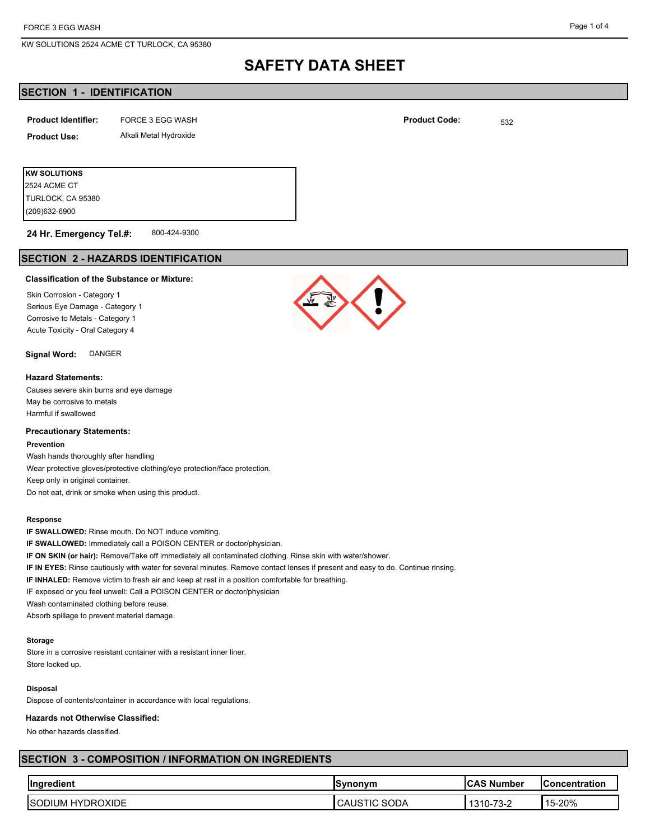KW SOLUTIONS 2524 ACME CT TURLOCK, CA 95380

# **SAFETY DATA SHEET**

# **SECTION 1 - IDENTIFICATION**

| <b>Product Identifier:</b> | FORCE 3 EGG WASH       | <b>Product Code:</b> | 532 |
|----------------------------|------------------------|----------------------|-----|
| <b>Product Use:</b>        | Alkali Metal Hydroxide |                      |     |
|                            |                        |                      |     |
| <b>KW SOLUTIONS</b>        |                        |                      |     |

800-424-9300 **24 Hr. Emergency Tel.#:**

# **SECTION 2 - HAZARDS IDENTIFICATION**

## **Classification of the Substance or Mixture:**

Skin Corrosion - Category 1 Serious Eye Damage - Category 1 Corrosive to Metals - Category 1 Acute Toxicity - Oral Category 4

## **Signal Word:** DANGER

#### **Hazard Statements:**

(209)632-6900 TURLOCK, CA 95380 2524 ACME CT

Causes severe skin burns and eye damage May be corrosive to metals Harmful if swallowed

### **Precautionary Statements:**

#### **Prevention**

Wash hands thoroughly after handling Wear protective gloves/protective clothing/eye protection/face protection. Keep only in original container. Do not eat, drink or smoke when using this product.

#### **Response**

**IF SWALLOWED:** Rinse mouth. Do NOT induce vomiting.

**IF SWALLOWED:** Immediately call a POISON CENTER or doctor/physician.

**IF ON SKIN (or hair):** Remove/Take off immediately all contaminated clothing. Rinse skin with water/shower.

**IF IN EYES:** Rinse cautiously with water for several minutes. Remove contact lenses if present and easy to do. Continue rinsing.

**IF INHALED:** Remove victim to fresh air and keep at rest in a position comfortable for breathing.

IF exposed or you feel unwell: Call a POISON CENTER or doctor/physician

Wash contaminated clothing before reuse.

Absorb spillage to prevent material damage.

#### **Storage**

Store in a corrosive resistant container with a resistant inner liner. Store locked up.

#### **Disposal**

Dispose of contents/container in accordance with local regulations.

#### **Hazards not Otherwise Classified:**

No other hazards classified.

# **SECTION 3 - COMPOSITION / INFORMATION ON INGREDIENTS**

| <b>Ingredient</b>                       | <b>Synonym</b> | Number<br>-                                   | lConcentration |
|-----------------------------------------|----------------|-----------------------------------------------|----------------|
| <b>/DROXIDE</b><br>НY<br>'SC<br>™)IUIv. | ነODA<br>- יש   | $\overline{\phantom{a}}$<br>ے-ت '<br>. ب<br>v | 4 F<br>15-20%  |

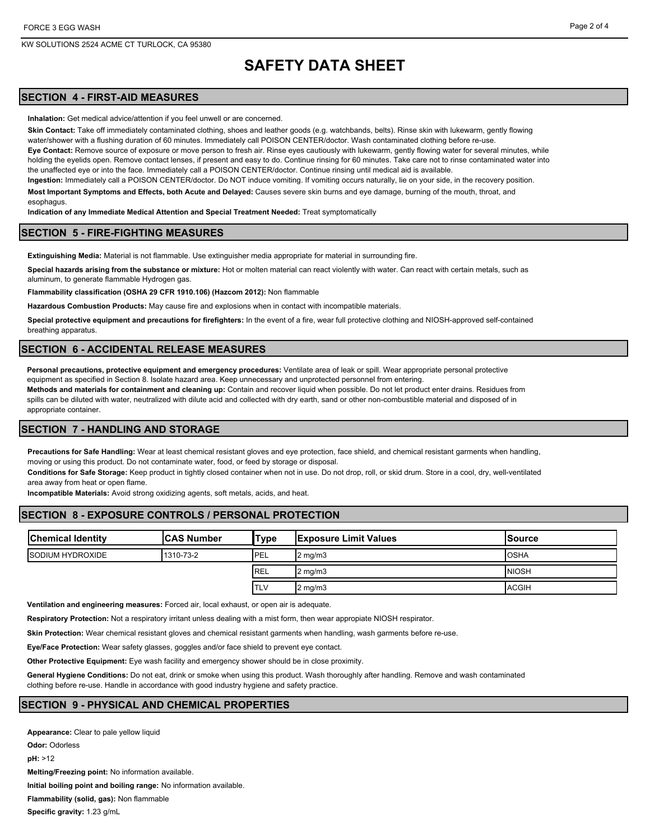# **SAFETY DATA SHEET**

# **SECTION 4 - FIRST-AID MEASURES**

**Inhalation:** Get medical advice/attention if you feel unwell or are concerned.

**Skin Contact:** Take off immediately contaminated clothing, shoes and leather goods (e.g. watchbands, belts). Rinse skin with lukewarm, gently flowing water/shower with a flushing duration of 60 minutes. Immediately call POISON CENTER/doctor. Wash contaminated clothing before re-use. **Eye Contact:** Remove source of exposure or move person to fresh air. Rinse eyes cautiously with lukewarm, gently flowing water for several minutes, while holding the evelids open. Remove contact lenses, if present and easy to do. Continue rinsing for 60 minutes. Take care not to rinse contaminated water into the unaffected eye or into the face. Immediately call a POISON CENTER/doctor. Continue rinsing until medical aid is available.

**Ingestion:** Immediately call a POISON CENTER/doctor. Do NOT induce vomiting. If vomiting occurs naturally, lie on your side, in the recovery position. **Most Important Symptoms and Effects, both Acute and Delayed:** Causes severe skin burns and eye damage, burning of the mouth, throat, and

esophagus. **Indication of any Immediate Medical Attention and Special Treatment Needed:** Treat symptomatically

## **SECTION 5 - FIRE-FIGHTING MEASURES**

**Extinguishing Media:** Material is not flammable. Use extinguisher media appropriate for material in surrounding fire.

**Special hazards arising from the substance or mixture:** Hot or molten material can react violently with water. Can react with certain metals, such as aluminum, to generate flammable Hydrogen gas.

**Flammability classification (OSHA 29 CFR 1910.106) (Hazcom 2012):** Non flammable

**Hazardous Combustion Products:** May cause fire and explosions when in contact with incompatible materials.

**Special protective equipment and precautions for firefighters:** In the event of a fire, wear full protective clothing and NIOSH-approved self-contained breathing apparatus.

## **SECTION 6 - ACCIDENTAL RELEASE MEASURES**

**Personal precautions, protective equipment and emergency procedures:** Ventilate area of leak or spill. Wear appropriate personal protective equipment as specified in Section 8. Isolate hazard area. Keep unnecessary and unprotected personnel from entering.

**Methods and materials for containment and cleaning up:** Contain and recover liquid when possible. Do not let product enter drains. Residues from spills can be diluted with water, neutralized with dilute acid and collected with dry earth, sand or other non-combustible material and disposed of in appropriate container.

## **SECTION 7 - HANDLING AND STORAGE**

**Precautions for Safe Handling:** Wear at least chemical resistant gloves and eye protection, face shield, and chemical resistant garments when handling, moving or using this product. Do not contaminate water, food, or feed by storage or disposal.

**Conditions for Safe Storage:** Keep product in tightly closed container when not in use. Do not drop, roll, or skid drum. Store in a cool, dry, well-ventilated area away from heat or open flame.

**Incompatible Materials:** Avoid strong oxidizing agents, soft metals, acids, and heat.

## **SECTION 8 - EXPOSURE CONTROLS / PERSONAL PROTECTION**

| <b>Chemical Identity</b> | <b>ICAS Number</b> | 'Туре       | <b>IExposure Limit Values</b> | lSource       |
|--------------------------|--------------------|-------------|-------------------------------|---------------|
| <b>ISODIUM HYDROXIDE</b> | 1310-73-2          | <b>IPEL</b> | $2 \text{ mg/m}$              | <b>OSHA</b>   |
|                          |                    | <b>REL</b>  | $2 \text{ mg/m}$              | <b>INIOSH</b> |
|                          |                    | <b>ITLV</b> | $2 \text{ mg/m}$              | <b>ACGIH</b>  |

**Ventilation and engineering measures:** Forced air, local exhaust, or open air is adequate.

**Respiratory Protection:** Not a respiratory irritant unless dealing with a mist form, then wear appropiate NIOSH respirator.

**Skin Protection:** Wear chemical resistant gloves and chemical resistant garments when handling, wash garments before re-use.

**Eye/Face Protection:** Wear safety glasses, goggles and/or face shield to prevent eye contact.

**Other Protective Equipment:** Eye wash facility and emergency shower should be in close proximity.

**General Hygiene Conditions:** Do not eat, drink or smoke when using this product. Wash thoroughly after handling. Remove and wash contaminated clothing before re-use. Handle in accordance with good industry hygiene and safety practice.

# **SECTION 9 - PHYSICAL AND CHEMICAL PROPERTIES**

**Appearance:** Clear to pale yellow liquid **Odor:** Odorless **pH:** >12 **Melting/Freezing point:** No information available. **Initial boiling point and boiling range:** No information available. **Flammability (solid, gas):** Non flammable **Specific gravity:** 1.23 g/mL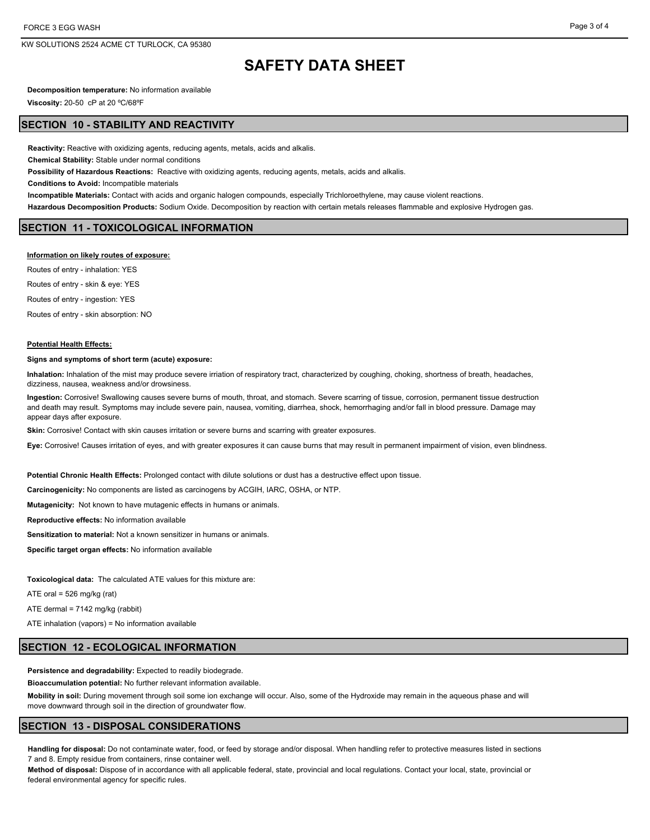KW SOLUTIONS 2524 ACME CT TURLOCK, CA 95380

# **SAFETY DATA SHEET**

**Decomposition temperature:** No information available

**Viscosity:** 20-50 cP at 20 ºC/68ºF

## **SECTION 10 - STABILITY AND REACTIVITY**

**Reactivity:** Reactive with oxidizing agents, reducing agents, metals, acids and alkalis.

**Chemical Stability:** Stable under normal conditions

**Possibility of Hazardous Reactions:** Reactive with oxidizing agents, reducing agents, metals, acids and alkalis.

**Conditions to Avoid:** Incompatible materials

**Incompatible Materials:** Contact with acids and organic halogen compounds, especially Trichloroethylene, may cause violent reactions.

**Hazardous Decomposition Products:** Sodium Oxide. Decomposition by reaction with certain metals releases flammable and explosive Hydrogen gas.

## **SECTION 11 - TOXICOLOGICAL INFORMATION**

#### **Information on likely routes of exposure:**

Routes of entry - inhalation: YES Routes of entry - skin & eye: YES Routes of entry - ingestion: YES Routes of entry - skin absorption: NO

#### **Potential Health Effects:**

#### **Signs and symptoms of short term (acute) exposure:**

**Inhalation:** Inhalation of the mist may produce severe irriation of respiratory tract, characterized by coughing, choking, shortness of breath, headaches, dizziness, nausea, weakness and/or drowsiness.

**Ingestion:** Corrosive! Swallowing causes severe burns of mouth, throat, and stomach. Severe scarring of tissue, corrosion, permanent tissue destruction and death may result. Symptoms may include severe pain, nausea, vomiting, diarrhea, shock, hemorrhaging and/or fall in blood pressure. Damage may appear days after exposure.

**Skin:** Corrosive! Contact with skin causes irritation or severe burns and scarring with greater exposures.

**Eye:** Corrosive! Causes irritation of eyes, and with greater exposures it can cause burns that may result in permanent impairment of vision, even blindness.

**Potential Chronic Health Effects:** Prolonged contact with dilute solutions or dust has a destructive effect upon tissue.

**Carcinogenicity:** No components are listed as carcinogens by ACGIH, IARC, OSHA, or NTP.

**Mutagenicity:** Not known to have mutagenic effects in humans or animals.

**Reproductive effects:** No information available

**Sensitization to material:** Not a known sensitizer in humans or animals.

**Specific target organ effects:** No information available

**Toxicological data:** The calculated ATE values for this mixture are:

ATE oral =  $526$  mg/kg (rat)

ATE dermal = 7142 mg/kg (rabbit)

ATE inhalation (vapors) = No information available

### **SECTION 12 - ECOLOGICAL INFORMATION**

**Persistence and degradability:** Expected to readily biodegrade.

**Bioaccumulation potential:** No further relevant information available.

**Mobility in soil:** During movement through soil some ion exchange will occur. Also, some of the Hydroxide may remain in the aqueous phase and will move downward through soil in the direction of groundwater flow.

### **SECTION 13 - DISPOSAL CONSIDERATIONS**

**Handling for disposal:** Do not contaminate water, food, or feed by storage and/or disposal. When handling refer to protective measures listed in sections 7 and 8. Empty residue from containers, rinse container well.

**Method of disposal:** Dispose of in accordance with all applicable federal, state, provincial and local regulations. Contact your local, state, provincial or federal environmental agency for specific rules.